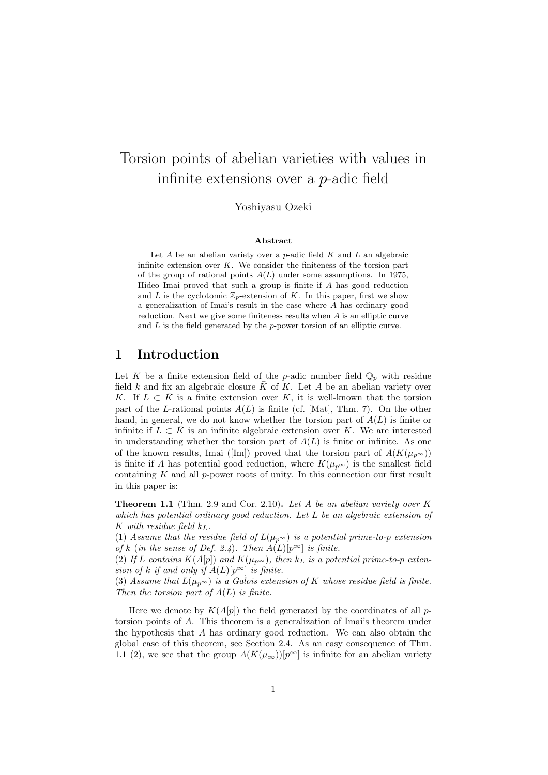# Torsion points of abelian varieties with values in infinite extensions over a p-adic field

Yoshiyasu Ozeki

#### Abstract

Let  $A$  be an abelian variety over a  $p$ -adic field  $K$  and  $L$  an algebraic infinite extension over  $K$ . We consider the finiteness of the torsion part of the group of rational points  $A(L)$  under some assumptions. In 1975, Hideo Imai proved that such a group is finite if  $A$  has good reduction and L is the cyclotomic  $\mathbb{Z}_p$ -extension of K. In this paper, first we show a generalization of Imai's result in the case where A has ordinary good reduction. Next we give some finiteness results when  $A$  is an elliptic curve and  $L$  is the field generated by the  $p$ -power torsion of an elliptic curve.

# 1 Introduction

Let K be a finite extension field of the p-adic number field  $\mathbb{Q}_p$  with residue field k and fix an algebraic closure  $\bar{K}$  of K. Let A be an abelian variety over K. If  $L \subset K$  is a finite extension over K, it is well-known that the torsion part of the L-rational points  $A(L)$  is finite (cf. [Mat], Thm. 7). On the other hand, in general, we do not know whether the torsion part of  $A(L)$  is finite or infinite if  $L \subset K$  is an infinite algebraic extension over K. We are interested in understanding whether the torsion part of  $A(L)$  is finite or infinite. As one of the known results, Imai ([Im]) proved that the torsion part of  $A(K(\mu_{p^{\infty}}))$ is finite if A has potential good reduction, where  $K(\mu_{p^{\infty}})$  is the smallest field containing  $K$  and all  $p$ -power roots of unity. In this connection our first result in this paper is:

**Theorem 1.1** (Thm. 2.9 and Cor. 2.10). Let A be an abelian variety over  $K$ which has potential ordinary good reduction. Let L be an algebraic extension of K with residue field  $k_L$ .

(1) Assume that the residue field of  $L(\mu_p \infty)$  is a potential prime-to-p extension of k (in the sense of Def. 2.4). Then  $A(L)[p^{\infty}]$  is finite.

(2) If L contains  $K(A[p])$  and  $K(\mu_{p^{\infty}})$ , then  $k_L$  is a potential prime-to-p extension of k if and only if  $A(L)[p^{\infty}]$  is finite.

(3) Assume that  $L(\mu_{p^{\infty}})$  is a Galois extension of K whose residue field is finite. Then the torsion part of  $A(L)$  is finite.

Here we denote by  $K(A[p])$  the field generated by the coordinates of all ptorsion points of A. This theorem is a generalization of Imai's theorem under the hypothesis that A has ordinary good reduction. We can also obtain the global case of this theorem, see Section 2.4. As an easy consequence of Thm. 1.1 (2), we see that the group  $A(K(\mu_{\infty}))[p^{\infty}]$  is infinite for an abelian variety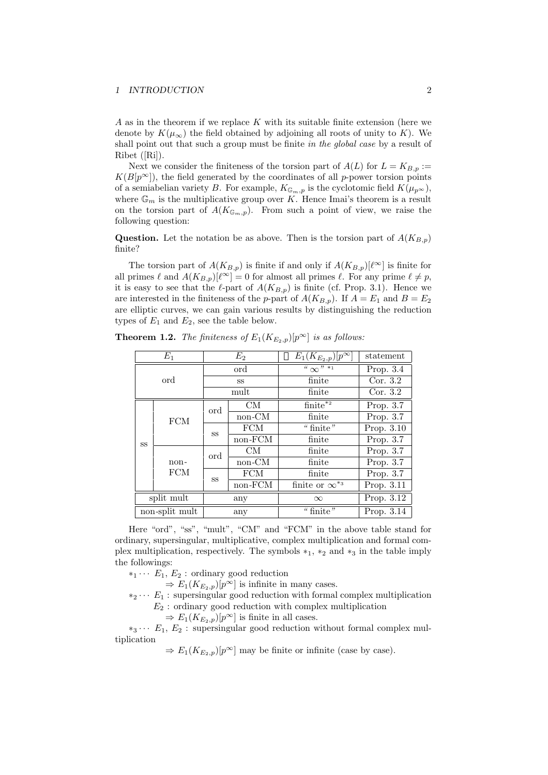A as in the theorem if we replace  $K$  with its suitable finite extension (here we denote by  $K(\mu_{\infty})$  the field obtained by adjoining all roots of unity to K). We shall point out that such a group must be finite in the global case by a result of Ribet ([Ri]).

Next we consider the finiteness of the torsion part of  $A(L)$  for  $L = K_{B,p} :=$  $K(B[p^{\infty}])$ , the field generated by the coordinates of all p-power torsion points of a semiabelian variety B. For example,  $K_{\mathbb{G}_m,p}$  is the cyclotomic field  $K(\mu_{p^{\infty}})$ , where  $\mathbb{G}_m$  is the multiplicative group over K. Hence Imai's theorem is a result on the torsion part of  $A(K_{\mathbb{G}_m,p})$ . From such a point of view, we raise the following question:

**Question.** Let the notation be as above. Then is the torsion part of  $A(K_{B,p})$ finite?

The torsion part of  $A(K_{B,p})$  is finite if and only if  $A(K_{B,p})[\ell^{\infty}]$  is finite for all primes  $\ell$  and  $A(K_{B,p})[\ell^{\infty}] = 0$  for almost all primes  $\ell$ . For any prime  $\ell \neq p$ , it is easy to see that the  $\ell$ -part of  $A(K_{B,p})$  is finite (cf. Prop. 3.1). Hence we are interested in the finiteness of the p-part of  $A(K_{B,p})$ . If  $A = E_1$  and  $B = E_2$ are elliptic curves, we can gain various results by distinguishing the reduction types of  $E_1$  and  $E_2$ , see the table below.

| $E_1$          |                    | E <sub>2</sub> |            | $E_1(K_{E_2,p})[p^{\infty}]$       | statement   |
|----------------|--------------------|----------------|------------|------------------------------------|-------------|
| ord            |                    | ord            |            | $\frac{1}{2}$ (x) $\frac{1}{2}$ +1 | Prop. $3.4$ |
|                |                    | SS             |            | finite                             | Cor. $3.2$  |
|                |                    | mult           |            | finite                             | Cor. $3.2$  |
| <b>SS</b>      | <b>FCM</b>         | ord            | CM         | $\overline{\text{finite}^{*2}}$    | Prop. 3.7   |
|                |                    |                | non-CM     | finite                             | Prop. 3.7   |
|                |                    | <b>SS</b>      | <b>FCM</b> | "finite"                           | Prop. 3.10  |
|                |                    |                | non-FCM    | finite                             | Prop. 3.7   |
|                | non-<br><b>FCM</b> | ord            | CM         | finite                             | Prop. 3.7   |
|                |                    |                | non-CM     | finite                             | Prop. 3.7   |
|                |                    | SS             | <b>FCM</b> | finite                             | Prop. 3.7   |
|                |                    |                | non-FCM    | finite or $\infty^{*3}$            | Prop. 3.11  |
| split mult     |                    | any            |            | $\infty$                           | Prop. 3.12  |
| non-split mult |                    | any            |            | "finite"                           | Prop. 3.14  |

**Theorem 1.2.** The finiteness of  $E_1(K_{E_2,p})[p^{\infty}]$  is as follows:

Here "ord", "ss", "mult", "CM" and "FCM" in the above table stand for ordinary, supersingular, multiplicative, complex multiplication and formal complex multiplication, respectively. The symbols  $*_1$ ,  $*_2$  and  $*_3$  in the table imply the followings:

 $*_1 \cdots E_1, E_2$ : ordinary good reduction

 $\Rightarrow E_1(K_{E_2,p})[p^{\infty}]$  is infinite in many cases.

 $*_2 \cdots E_1$ : supersingular good reduction with formal complex multiplication  $E_2$ : ordinary good reduction with complex multiplication

 $\Rightarrow E_1(K_{E_2,p})[p^{\infty}]$  is finite in all cases.

 $*_3 \cdots E_1, E_2$ : supersingular good reduction without formal complex multiplication

 $\Rightarrow E_1(K_{E_2,p})[p^{\infty}]$  may be finite or infinite (case by case).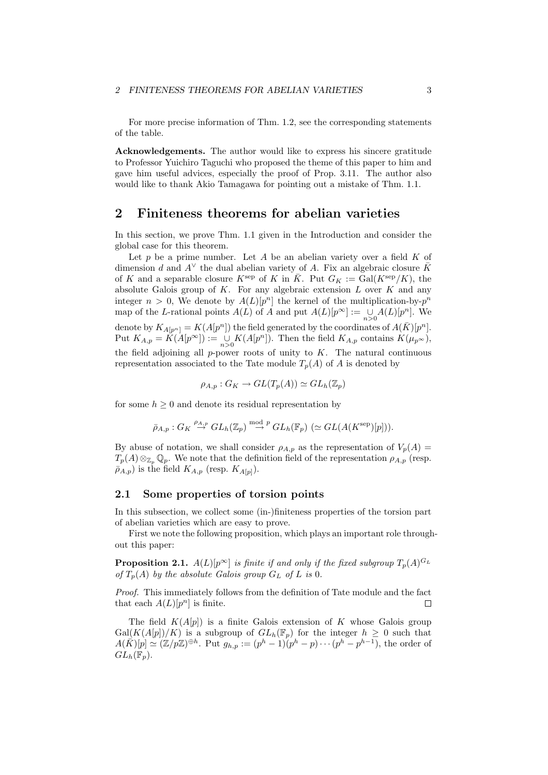For more precise information of Thm. 1.2, see the corresponding statements of the table.

Acknowledgements. The author would like to express his sincere gratitude to Professor Yuichiro Taguchi who proposed the theme of this paper to him and gave him useful advices, especially the proof of Prop. 3.11. The author also would like to thank Akio Tamagawa for pointing out a mistake of Thm. 1.1.

## 2 Finiteness theorems for abelian varieties

In this section, we prove Thm. 1.1 given in the Introduction and consider the global case for this theorem.

Let  $p$  be a prime number. Let  $A$  be an abelian variety over a field  $K$  of dimension d and  $A^{\vee}$  the dual abelian variety of A. Fix an algebraic closure  $\bar{K}$ of K and a separable closure  $K^{\rm sep}$  of K in  $\overline{K}$ . Put  $G_K := \text{Gal}(K^{\rm sep}/K)$ , the absolute Galois group of  $K$ . For any algebraic extension  $L$  over  $K$  and any integer  $n > 0$ , We denote by  $A(L)[p^n]$  the kernel of the multiplication-by- $p^n$ map of the L-rational points  $A(L)$  of A and put  $A(L)[p^{\infty}] := \bigcup_{n>0} A(L)[p^n]$ . We denote by  $K_{A[p^n]} = K(A[p^n])$  the field generated by the coordinates of  $A(\overline{K})[p^n]$ . Put  $K_{A,p} = \tilde{K}(A[p^{\infty}]) := \bigcup_{n>0} K(A[p^n])$ . Then the field  $K_{A,p}$  contains  $K(\mu_{p^{\infty}})$ , the field adjoining all  $p$ -power roots of unity to  $K$ . The natural continuous representation associated to the Tate module  $T_n(A)$  of A is denoted by

 $\rho_{A,p}: G_K \to GL(T_p(A)) \simeq GL_h(\mathbb{Z}_p)$ 

for some  $h \geq 0$  and denote its residual representation by

$$
\bar{\rho}_{A,p}: G_K \stackrel{\rho_{A,p}}{\to} GL_h(\mathbb{Z}_p) \stackrel{\text{mod }p}{\to} GL_h(\mathbb{F}_p) \;(\simeq GL(A(K^{\text{sep}})[p])).
$$

By abuse of notation, we shall consider  $\rho_{A,p}$  as the representation of  $V_p(A)$  =  $T_p(A) \otimes_{\mathbb{Z}_p} \mathbb{Q}_p$ . We note that the definition field of the representation  $\rho_{A,p}$  (resp.  $\bar{\rho}_{A,p}$ ) is the field  $K_{A,p}$  (resp.  $K_{A[p]}$ ).

#### 2.1 Some properties of torsion points

In this subsection, we collect some (in-)finiteness properties of the torsion part of abelian varieties which are easy to prove.

First we note the following proposition, which plays an important role throughout this paper:

**Proposition 2.1.**  $A(L)[p^{\infty}]$  is finite if and only if the fixed subgroup  $T_p(A)^{G_L}$ of  $T_p(A)$  by the absolute Galois group  $G_L$  of L is 0.

Proof. This immediately follows from the definition of Tate module and the fact that each  $A(L)[p^n]$  is finite.  $\Box$ 

The field  $K(A[p])$  is a finite Galois extension of K whose Galois group  $Gal(K(A[p])/K)$  is a subgroup of  $GL_h(\mathbb{F}_p)$  for the integer  $h \geq 0$  such that  $A(\vec{K})[p] \simeq (\mathbb{Z}/p\mathbb{Z})^{\oplus h}$ . Put  $g_{h,p} := (p^h - 1)(p^h - p) \cdots (p^h - p^{h-1}),$  the order of  $GL_h(\mathbb{F}_p).$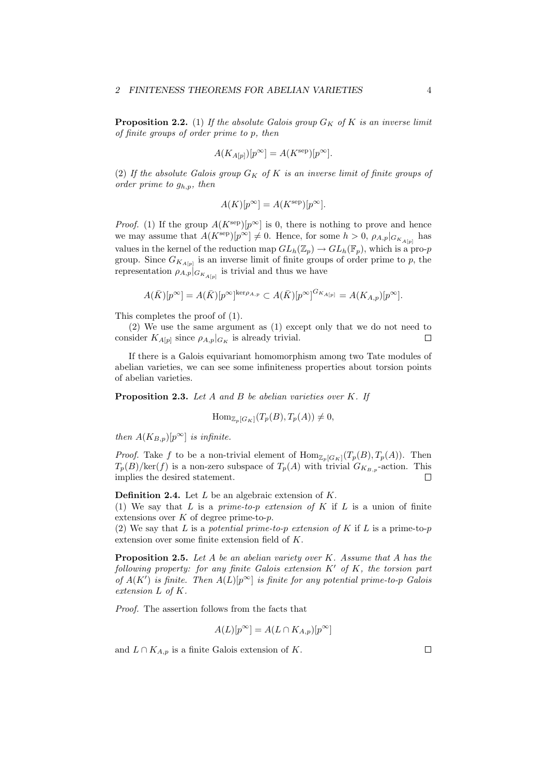**Proposition 2.2.** (1) If the absolute Galois group  $G_K$  of K is an inverse limit of finite groups of order prime to p, then

$$
A(K_{A[p]})[p^{\infty}] = A(K^{\text{sep}})[p^{\infty}].
$$

(2) If the absolute Galois group  $G_K$  of K is an inverse limit of finite groups of order prime to  $g_{h,p}$ , then

$$
A(K)[p^{\infty}] = A(K^{\text{sep}})[p^{\infty}].
$$

*Proof.* (1) If the group  $A(K^{\text{sep}})[p^{\infty}]$  is 0, there is nothing to prove and hence we may assume that  $A(K^{\text{sep}})[p^{\infty}] \neq 0$ . Hence, for some  $h > 0$ ,  $\rho_{A,p}|_{G_{K_{A[p]}}}$  has values in the kernel of the reduction map  $GL_h(\mathbb{Z}_p) \to GL_h(\mathbb{F}_p)$ , which is a pro-p group. Since  $G_{K_{A[p]}}$  is an inverse limit of finite groups of order prime to p, the representation  $\rho_{A,p}|_{G_{K_{A[p]}}}$  is trivial and thus we have

$$
A(\bar{K})[p^{\infty}] = A(\bar{K})[p^{\infty}]^{\ker \rho_{A,p}} \subset A(\bar{K})[p^{\infty}]^{G_{K_{A[p]}}} = A(K_{A,p})[p^{\infty}].
$$

This completes the proof of (1).

(2) We use the same argument as (1) except only that we do not need to consider  $K_{A[p]}$  since  $\rho_{A,p}|_{G_K}$  is already trivial.  $\Box$ 

If there is a Galois equivariant homomorphism among two Tate modules of abelian varieties, we can see some infiniteness properties about torsion points of abelian varieties.

**Proposition 2.3.** Let  $A$  and  $B$  be abelian varieties over  $K$ . If

$$
\text{Hom}_{\mathbb{Z}_p[G_K]}(T_p(B), T_p(A)) \neq 0,
$$

then  $A(K_{B,p})[p^{\infty}]$  is infinite.

*Proof.* Take f to be a non-trivial element of  $\text{Hom}_{\mathbb{Z}_p[G_K]}(T_p(B), T_p(A))$ . Then  $T_p(B)/\text{ker}(f)$  is a non-zero subspace of  $T_p(A)$  with trivial  $G_{K_{B,p}}$ -action. This implies the desired statement.  $\Box$ 

**Definition 2.4.** Let  $L$  be an algebraic extension of  $K$ .

(1) We say that  $L$  is a prime-to-p extension of  $K$  if  $L$  is a union of finite extensions over  $K$  of degree prime-to- $p$ .

(2) We say that L is a potential prime-to-p extension of K if L is a prime-to-p extension over some finite extension field of K.

**Proposition 2.5.** Let  $A$  be an abelian variety over  $K$ . Assume that  $A$  has the following property: for any finite Galois extension  $K'$  of  $K$ , the torsion part of  $A(K')$  is finite. Then  $A(L)[p^{\infty}]$  is finite for any potential prime-to-p Galois extension L of K.

Proof. The assertion follows from the facts that

$$
A(L)[p^{\infty}] = A(L \cap K_{A,p})[p^{\infty}]
$$

and  $L \cap K_{A,p}$  is a finite Galois extension of K.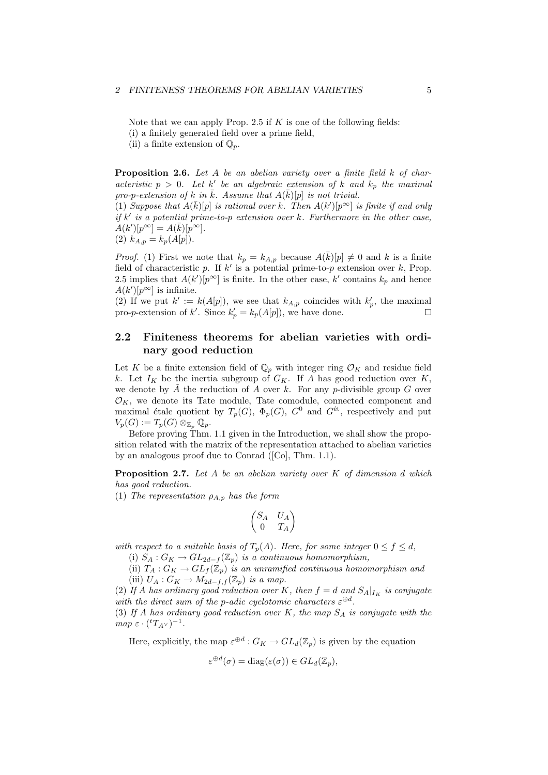Note that we can apply Prop. 2.5 if  $K$  is one of the following fields:

(i) a finitely generated field over a prime field,

(ii) a finite extension of  $\mathbb{Q}_p$ .

**Proposition 2.6.** Let A be an abelian variety over a finite field k of characteristic  $p > 0$ . Let k' be an algebraic extension of k and  $k_p$  the maximal pro-p-extension of k in  $\bar{k}$ . Assume that  $A(\bar{k})[p]$  is not trivial.

(1) Suppose that  $A(\bar{k})[p]$  is rational over k. Then  $A(k')[p^{\infty}]$  is finite if and only if  $k'$  is a potential prime-to-p extension over k. Furthermore in the other case,  $A(k')[p^{\infty}] = A(\overline{k})[p^{\infty}].$ 

(2) 
$$
k_{A,p} = k_p(A[p])
$$
.

*Proof.* (1) First we note that  $k_p = k_{A,p}$  because  $A(\overline{k})[p] \neq 0$  and k is a finite field of characteristic p. If  $k'$  is a potential prime-to-p extension over k, Prop. 2.5 implies that  $A(k')[p^{\infty}]$  is finite. In the other case, k' contains  $k_p$  and hence  $A(k')[p^{\infty}]$  is infinite.

(2) If we put  $k' := k(A[p])$ , we see that  $k_{A,p}$  coincides with  $k'_{p}$ , the maximal pro-*p*-extension of k'. Since  $k'_p = k_p(A[p])$ , we have done. П

## 2.2 Finiteness theorems for abelian varieties with ordinary good reduction

Let K be a finite extension field of  $\mathbb{Q}_p$  with integer ring  $\mathcal{O}_K$  and residue field k. Let  $I_K$  be the inertia subgroup of  $G_K$ . If A has good reduction over K, we denote by  $\tilde{A}$  the reduction of A over k. For any p-divisible group G over  $\mathcal{O}_K$ , we denote its Tate module, Tate comodule, connected component and maximal étale quotient by  $T_p(G)$ ,  $\Phi_p(G)$ ,  $G^0$  and  $G^{\text{\'et}}$ , respectively and put  $V_p(G) := T_p(G) \otimes_{\mathbb{Z}_p} \mathbb{Q}_p.$ 

Before proving Thm. 1.1 given in the Introduction, we shall show the proposition related with the matrix of the representation attached to abelian varieties by an analogous proof due to Conrad ([Co], Thm. 1.1).

**Proposition 2.7.** Let  $A$  be an abelian variety over  $K$  of dimension  $d$  which has good reduction.

(1) The representation  $\rho_{A,p}$  has the form

$$
\begin{pmatrix} S_A & U_A \\ 0 & T_A \end{pmatrix}
$$

with respect to a suitable basis of  $T_p(A)$ . Here, for some integer  $0 \le f \le d$ ,

(i)  $S_A: G_K \to GL_{2d-f}(\mathbb{Z}_p)$  is a continuous homomorphism,

(ii)  $T_A: G_K \to GL_f(\mathbb{Z}_p)$  is an unramified continuous homomorphism and (iii)  $U_A: G_K \to M_{2d-f,f}(\mathbb{Z}_p)$  is a map.

(2) If A has ordinary good reduction over K, then  $f = d$  and  $S_A|_{I_K}$  is conjugate with the direct sum of the p-adic cyclotomic characters  $\varepsilon^{\oplus d}$ .

(3) If A has ordinary good reduction over K, the map  $S_A$  is conjugate with the  $map \varepsilon \cdot ({}^tT_{A^{\vee}})^{-1}.$ 

Here, explicitly, the map  $\varepsilon^{\oplus d}$ :  $G_K \to GL_d(\mathbb{Z}_p)$  is given by the equation

$$
\varepsilon^{\oplus d}(\sigma) = \text{diag}(\varepsilon(\sigma)) \in GL_d(\mathbb{Z}_p),
$$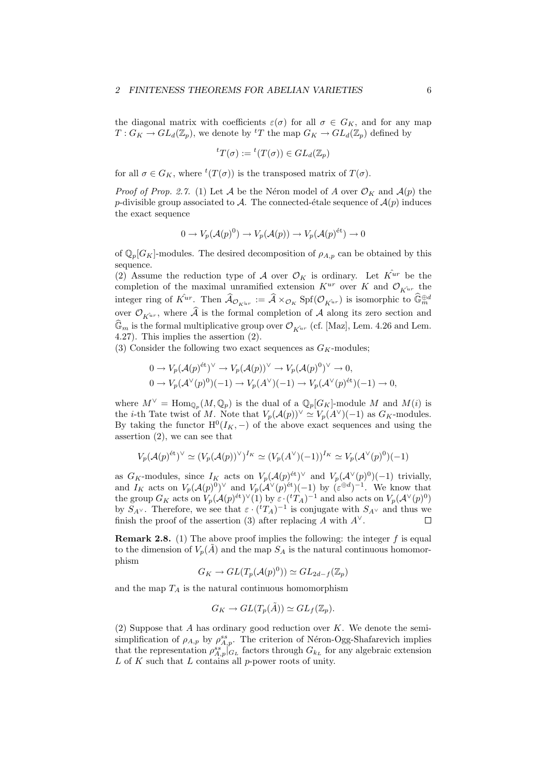the diagonal matrix with coefficients  $\varepsilon(\sigma)$  for all  $\sigma \in G_K$ , and for any map  $T: G_K \to GL_d(\mathbb{Z}_p)$ , we denote by <sup>t</sup>T the map  $G_K \to GL_d(\mathbb{Z}_p)$  defined by

$$
{}^tT(\sigma) := {}^t(T(\sigma)) \in GL_d(\mathbb{Z}_p)
$$

for all  $\sigma \in G_K$ , where  ${}^t(T(\sigma))$  is the transposed matrix of  $T(\sigma)$ .

*Proof of Prop. 2.7.* (1) Let A be the Néron model of A over  $\mathcal{O}_K$  and  $\mathcal{A}(p)$  the p-divisible group associated to A. The connected-étale sequence of  $\mathcal{A}(p)$  induces the exact sequence

$$
0 \to V_p(\mathcal{A}(p)^0) \to V_p(\mathcal{A}(p)) \to V_p(\mathcal{A}(p)^{\text{\'et}}) \to 0
$$

of  $\mathbb{Q}_p[G_K]$ -modules. The desired decomposition of  $\rho_{A,p}$  can be obtained by this sequence.

(2) Assume the reduction type of A over  $\mathcal{O}_K$  is ordinary. Let  $K^{\hat{u}r}$  be the completion of the maximal unramified extension  $K^{ur}$  over K and  $\mathcal{O}_{K^{ur}}$  the integer ring of  $\hat{K}ur$ . Then  $\widehat{\mathcal{A}}_{\mathcal{O}_{K\hat{u}r}} := \widehat{\mathcal{A}} \times_{\mathcal{O}_{K}} \text{Spf}(\mathcal{O}_{\hat{K}^{\hat{u}r}})$  is isomorphic to  $\widehat{\mathbb{G}}_{m}^{\oplus d}$ over  $\mathcal{O}_{K^{\hat{u}r}}$ , where  $\hat{\mathcal{A}}$  is the formal completion of  $\mathcal{A}$  along its zero section and  $\mathbb{G}_m$  is the formal multiplicative group over  $\mathcal{O}_{\hat{K}^{ur}}$  (cf. [Maz], Lem. 4.26 and Lem. 4.27). This implies the assertion (2).

(3) Consider the following two exact sequences as  $G_K$ -modules;

$$
0 \to V_p(\mathcal{A}(p)^{\text{\'et}})^\vee \to V_p(\mathcal{A}(p))^\vee \to V_p(\mathcal{A}(p)^0)^\vee \to 0,
$$
  

$$
0 \to V_p(\mathcal{A}^\vee(p)^0)(-1) \to V_p(\mathcal{A}^\vee)(-1) \to V_p(\mathcal{A}^\vee(p)^{\text{\'et}})(-1) \to 0,
$$

where  $M^{\vee} = \text{Hom}_{\mathbb{Q}_p}(M, \mathbb{Q}_p)$  is the dual of a  $\mathbb{Q}_p[G_K]$ -module M and  $M(i)$  is the *i*-th Tate twist of M. Note that  $V_p(\mathcal{A}(p))^{\vee} \simeq V_p(A^{\vee})(-1)$  as  $G_K$ -modules. By taking the functor  $H^0(I_K, -)$  of the above exact sequences and using the assertion (2), we can see that

$$
V_p(\mathcal{A}(p)^{\text{\'et}})^\vee \simeq (V_p(\mathcal{A}(p))^\vee)^{I_K} \simeq (V_p(A^\vee)(-1))^{I_K} \simeq V_p(\mathcal{A}^\vee(p)^0)(-1)
$$

as  $G_K$ -modules, since  $I_K$  acts on  $V_p(\mathcal{A}(p)^{2})^{\vee}$  and  $V_p(\mathcal{A}^{\vee}(p)^0)(-1)$  trivially, and  $I_K$  acts on  $V_p(\mathcal{A}(p)^0)^\vee$  and  $V_p(\mathcal{A}^\vee(p)^{\text{\'et}})(-1)$  by  $(\varepsilon^{\oplus d})^{-1}$ . We know that the group  $G_K$  acts on  $V_p(\mathcal{A}(p)^{\text{\'et}})^\vee(1)$  by  $\varepsilon \cdot ({}^tT_A)^{-1}$  and also acts on  $V_p(\mathcal{A}^\vee(p)^0)$ by  $S_{A^{\vee}}$ . Therefore, we see that  $\varepsilon \cdot {^{t}T_A})^{-1}$  is conjugate with  $S_{A^{\vee}}$  and thus we finish the proof of the assertion (3) after replacing A with  $A^{\vee}$ .  $\Box$ 

**Remark 2.8.** (1) The above proof implies the following: the integer  $f$  is equal to the dimension of  $V_p(\tilde{A})$  and the map  $S_A$  is the natural continuous homomorphism

$$
G_K \to GL(T_p(\mathcal{A}(p)^0)) \simeq GL_{2d-f}(\mathbb{Z}_p)
$$

and the map  $T_A$  is the natural continuous homomorphism

$$
G_K \to GL(T_p(\tilde{A})) \simeq GL_f(\mathbb{Z}_p).
$$

(2) Suppose that  $A$  has ordinary good reduction over  $K$ . We denote the semisimplification of  $\rho_{A,p}$  by  $\rho_{A,p}^{ss}$ . The criterion of Néron-Ogg-Shafarevich implies that the representation  $\rho_{A,p}^{ss}|_{G_L}^{\cdot}$  factors through  $G_{k_L}$  for any algebraic extension L of K such that L contains all p-power roots of unity.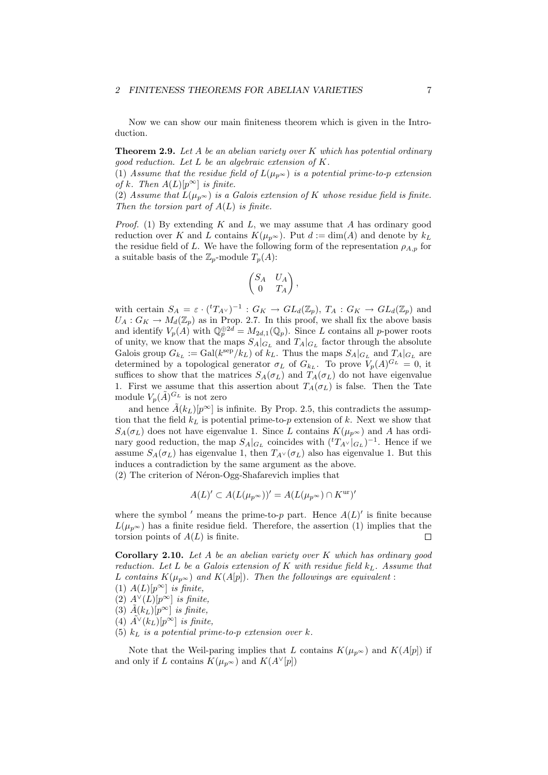Now we can show our main finiteness theorem which is given in the Introduction.

**Theorem 2.9.** Let A be an abelian variety over K which has potential ordinary good reduction. Let  $L$  be an algebraic extension of  $K$ .

(1) Assume that the residue field of  $L(\mu_{p^{\infty}})$  is a potential prime-to-p extension of k. Then  $A(L)[p^{\infty}]$  is finite.

(2) Assume that  $L(\mu_{p^{\infty}})$  is a Galois extension of K whose residue field is finite. Then the torsion part of  $A(L)$  is finite.

*Proof.* (1) By extending K and L, we may assume that A has ordinary good reduction over K and L contains  $K(\mu_{p^{\infty}})$ . Put  $d := \dim(A)$  and denote by  $k_L$ the residue field of L. We have the following form of the representation  $\rho_{A,p}$  for a suitable basis of the  $\mathbb{Z}_p$ -module  $T_p(A)$ :

$$
\begin{pmatrix} S_A & U_A \\ 0 & T_A \end{pmatrix},
$$

with certain  $S_A = \varepsilon \cdot ({}^tT_{A^{\vee}})^{-1}$ :  $G_K \to GL_d(\mathbb{Z}_p)$ ,  $T_A : G_K \to GL_d(\mathbb{Z}_p)$  and  $U_A: G_K \to M_d(\mathbb{Z}_p)$  as in Prop. 2.7. In this proof, we shall fix the above basis and identify  $V_p(A)$  with  $\mathbb{Q}_p^{\oplus 2d} = M_{2d,1}(\mathbb{Q}_p)$ . Since L contains all p-power roots of unity, we know that the maps  $S_A|_{G_L}$  and  $T_A|_{G_L}$  factor through the absolute Galois group  $G_{k_L} := \text{Gal}(k^{\text{sep}}/k_L)$  of  $k_L$ . Thus the maps  $S_A|_{G_L}$  and  $T_A|_{G_L}$  are determined by a topological generator  $\sigma_L$  of  $G_{k_L}$ . To prove  $V_p(A)^{G_L} = 0$ , it suffices to show that the matrices  $S_A(\sigma_L)$  and  $T_A(\sigma_L)$  do not have eigenvalue 1. First we assume that this assertion about  $T_A(\sigma_L)$  is false. Then the Tate module  $V_p(\tilde{A})^{G_L}$  is not zero

and hence  $\tilde{A}(k_L)[p^{\infty}]$  is infinite. By Prop. 2.5, this contradicts the assumption that the field  $k<sub>L</sub>$  is potential prime-to-p extension of k. Next we show that  $S_A(\sigma_L)$  does not have eigenvalue 1. Since L contains  $K(\mu_{n^{\infty}})$  and A has ordinary good reduction, the map  $S_A|_{G_L}$  coincides with  $({}^tT_{A} \vee |_{G_L})^{-1}$ . Hence if we assume  $S_A(\sigma_L)$  has eigenvalue 1, then  $T_{A} \vee (\sigma_L)$  also has eigenvalue 1. But this induces a contradiction by the same argument as the above.  $(2)$  The criterion of Néron-Ogg-Shafarevich implies that

$$
A(L)' \subset A(L(\mu_{p^{\infty}}))' = A(L(\mu_{p^{\infty}}) \cap K^{\text{ur}})'
$$

where the symbol ' means the prime-to-p part. Hence  $A(L)$ ' is finite because  $L(\mu_n\infty)$  has a finite residue field. Therefore, the assertion (1) implies that the torsion points of  $A(L)$  is finite.  $\Box$ 

**Corollary 2.10.** Let  $A$  be an abelian variety over  $K$  which has ordinary good reduction. Let L be a Galois extension of K with residue field  $k<sub>L</sub>$ . Assume that L contains  $K(\mu_{p^{\infty}})$  and  $K(A[p])$ . Then the followings are equivalent:

- (1)  $A(L)[p^{\infty}]$  is finite,
- (2)  $A^{\vee}(L)[p^{\infty}]$  is finite,
- (3)  $\tilde{A}(k_L)[p^{\infty}]$  is finite,
- (4)  $\tilde{A}^\vee(k_L)[p^\infty]$  is finite,
- (5)  $k<sub>L</sub>$  is a potential prime-to-p extension over k.

Note that the Weil-paring implies that L contains  $K(\mu_{p^{\infty}})$  and  $K(A[p])$  if and only if L contains  $K(\mu_{p^{\infty}})$  and  $K(A^{\vee}[p])$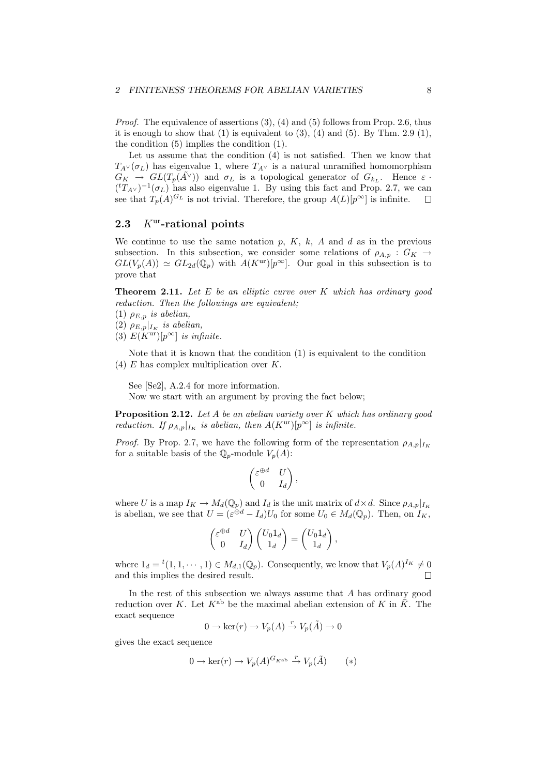*Proof.* The equivalence of assertions  $(3)$ ,  $(4)$  and  $(5)$  follows from Prop. 2.6, thus it is enough to show that  $(1)$  is equivalent to  $(3)$ ,  $(4)$  and  $(5)$ . By Thm. 2.9  $(1)$ , the condition (5) implies the condition (1).

Let us assume that the condition (4) is not satisfied. Then we know that  $T_{A} \vee (\sigma_L)$  has eigenvalue 1, where  $T_{A} \vee$  is a natural unramified homomorphism  $G_K \to GL(T_p(\tilde{A}^{\vee}))$  and  $\sigma_L$  is a topological generator of  $G_{k_L}$ . Hence  $\varepsilon$ .  $({}^{t}T_{A}{}_{\vee})^{-1}(\sigma_{L})$  has also eigenvalue 1. By using this fact and Prop. 2.7, we can see that  $T_p(A)^{G_L}$  is not trivial. Therefore, the group  $A(L)[p^{\infty}]$  is infinite.  $\Box$ 

## 2.3  $K^{\text{ur}}$ -rational points

We continue to use the same notation  $p, K, k, A$  and  $d$  as in the previous subsection. In this subsection, we consider some relations of  $\rho_{A,n}: G_K \to$  $GL(V_p(A)) \simeq GL_{2d}(\mathbb{Q}_p)$  with  $A(K^{\text{ur}})[p^{\infty}]$ . Our goal in this subsection is to prove that

**Theorem 2.11.** Let  $E$  be an elliptic curve over  $K$  which has ordinary good reduction. Then the followings are equivalent;

(1)  $\rho_{E,p}$  is abelian,

(2)  $\rho_{E,p}|_{I_K}$  is abelian,

(3)  $E(K^{\text{ur}})[p^{\infty}]$  is infinite.

Note that it is known that the condition (1) is equivalent to the condition (4)  $E$  has complex multiplication over  $K$ .

See [Se2], A.2.4 for more information.

Now we start with an argument by proving the fact below;

**Proposition 2.12.** Let A be an abelian variety over K which has ordinary good reduction. If  $\rho_{A,p}|_{I_K}$  is abelian, then  $A(K^{\text{ur}})[p^{\infty}]$  is infinite.

*Proof.* By Prop. 2.7, we have the following form of the representation  $\rho_{A,p}|_{I_K}$ for a suitable basis of the  $\mathbb{Q}_p$ -module  $V_p(A)$ :

$$
\begin{pmatrix} \varepsilon^{\oplus d} & U \\ 0 & I_d \end{pmatrix},
$$

where U is a map  $I_K \to M_d(\mathbb{Q}_p)$  and  $I_d$  is the unit matrix of  $d \times d$ . Since  $\rho_{A,p}|_{I_K}$ is abelian, we see that  $U = (\varepsilon^{\oplus d} - I_d)U_0$  for some  $U_0 \in M_d(\mathbb{Q}_p)$ . Then, on  $I_K$ ,

$$
\begin{pmatrix} \varepsilon^{\oplus d} & U \\ 0 & I_d \end{pmatrix} \begin{pmatrix} U_0 1_d \\ 1_d \end{pmatrix} = \begin{pmatrix} U_0 1_d \\ 1_d \end{pmatrix},
$$

where  $1_d = {}^t(1,1,\dots,1) \in M_{d,1}(\mathbb{Q}_p)$ . Consequently, we know that  $V_p(A)^{I_K} \neq 0$ and this implies the desired result.  $\Box$ 

In the rest of this subsection we always assume that  $A$  has ordinary good reduction over K. Let  $K^{\text{ab}}$  be the maximal abelian extension of K in  $\overline{K}$ . The exact sequence

$$
0 \to \ker(r) \to V_p(A) \stackrel{r}{\to} V_p(\tilde{A}) \to 0
$$

gives the exact sequence

$$
0 \to \ker(r) \to V_p(A)^{G_{K^{\mathrm{ab}}}} \stackrel{r}{\to} V_p(\tilde{A}) \qquad (*)
$$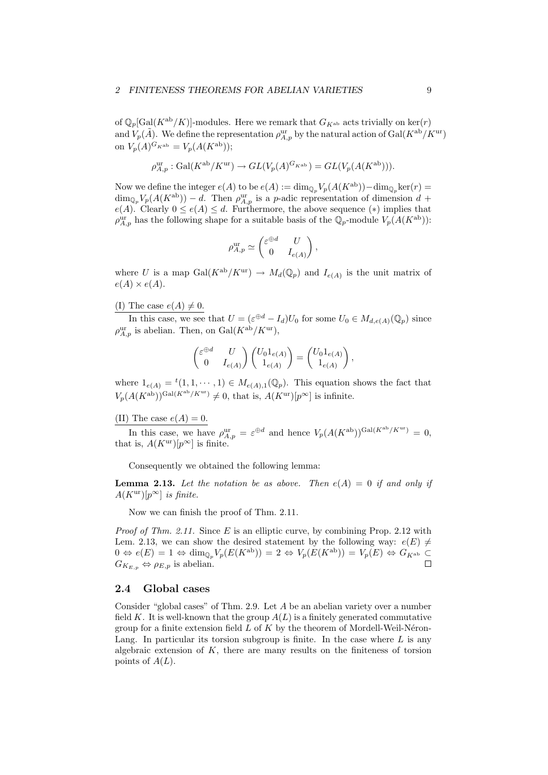of  $\mathbb{Q}_p[\text{Gal}(K^{\text{ab}}/K)]$ -modules. Here we remark that  $G_{K^{\text{ab}}}$  acts trivially on ker(r) and  $V_p(\tilde{A})$ . We define the representation  $\rho_{A,p}^{\text{ur}}$  by the natural action of  $Gal(K^{ab}/K^{\text{ur}})$ on  $V_p(A)^{G_{K^{ab}}} = V_p(A(K^{ab}))$ ;

$$
\rho^{\mathrm{ur}}_{A,p}: \mathrm{Gal}(K^{\mathrm{ab}}/K^{\mathrm{ur}}) \rightarrow GL(V_p(A)^{G_{K^{\mathrm{ab}}}})=GL(V_p(A(K^{\mathrm{ab}}))).
$$

Now we define the integer  $e(A)$  to be  $e(A) := \dim_{\mathbb{Q}_p} V_p(A(K^{ab})) - \dim_{\mathbb{Q}_p} \ker(r) =$  $\dim_{\mathbb{Q}_p} V_p(A(K^{\text{ab}})) - d$ . Then  $\rho_{A,p}^{\text{ur}}$  is a *p*-adic representation of dimension  $d$  +  $e(A)$ . Clearly  $0 \leq e(A) \leq d$ . Furthermore, the above sequence  $(*)$  implies that  $\rho_{A,p}^{\text{ur}}$  has the following shape for a suitable basis of the  $\mathbb{Q}_p$ -module  $V_p(A(K^{\text{ab}}))$ :

$$
\rho_{A,p}^{\text{ur}} \simeq \begin{pmatrix} \varepsilon^{\oplus d} & U \\ 0 & I_{e(A)} \end{pmatrix},
$$

where U is a map Gal( $K^{ab}/K^{ur}$ )  $\rightarrow M_d(\mathbb{Q}_p)$  and  $I_{e(A)}$  is the unit matrix of  $e(A) \times e(A)$ .

(I) The case  $e(A) \neq 0$ .

In this case, we see that  $U = (\varepsilon^{\oplus d} - I_d)U_0$  for some  $U_0 \in M_{d,e(A)}(\mathbb{Q}_p)$  since  $\rho_{A,p}^{\text{ur}}$  is abelian. Then, on  $\text{Gal}(K^{\text{ab}}/K^{\text{ur}})$ ,

$$
\begin{pmatrix} \varepsilon^{\oplus d} & U \\ 0 & I_{e(A)} \end{pmatrix} \begin{pmatrix} U_0 1_{e(A)} \\ 1_{e(A)} \end{pmatrix} = \begin{pmatrix} U_0 1_{e(A)} \\ 1_{e(A)} \end{pmatrix},
$$

where  $1_{e(A)} = {}^{t}(1, 1, \dots, 1) \in M_{e(A),1}(\mathbb{Q}_p)$ . This equation shows the fact that  $V_p(A(K^{\text{ab}}))^{\text{Gal}(K^{\text{ab}}/K^{\text{ur}})} \neq 0$ , that is,  $A(K^{\text{ur}})[p^{\infty}]$  is infinite.

(II) The case  $e(A) = 0$ .

In this case, we have  $\rho_{A,p}^{\text{ur}} = \varepsilon^{\oplus d}$  and hence  $V_p(A(K^{\text{ab}}))^{\text{Gal}(K^{\text{ab}}/K^{\text{ur}})} = 0$ , that is,  $A(K^{\text{ur}})[p^{\infty}]$  is finite.

Consequently we obtained the following lemma:

**Lemma 2.13.** Let the notation be as above. Then  $e(A) = 0$  if and only if  $A(K^{\mathrm{ur}})[p^{\infty}]$  is finite.

Now we can finish the proof of Thm. 2.11.

*Proof of Thm. 2.11.* Since  $E$  is an elliptic curve, by combining Prop. 2.12 with Lem. 2.13, we can show the desired statement by the following way:  $e(E) \neq$  $0 \Leftrightarrow e(E) = 1 \Leftrightarrow \dim_{\mathbb{Q}_p} V_p(E(K^{\text{ab}})) = 2 \Leftrightarrow V_p(E(K^{\text{ab}})) = V_p(E) \Leftrightarrow G_{K^{\text{ab}}} \subset$  $G_{K_{E,p}} \Leftrightarrow \rho_{E,p}$  is abelian.  $\Box$ 

## 2.4 Global cases

Consider "global cases" of Thm. 2.9. Let A be an abelian variety over a number field K. It is well-known that the group  $A(L)$  is a finitely generated commutative group for a finite extension field  $L$  of  $K$  by the theorem of Mordell-Weil-Néron-Lang. In particular its torsion subgroup is finite. In the case where  $L$  is any algebraic extension of  $K$ , there are many results on the finiteness of torsion points of  $A(L)$ .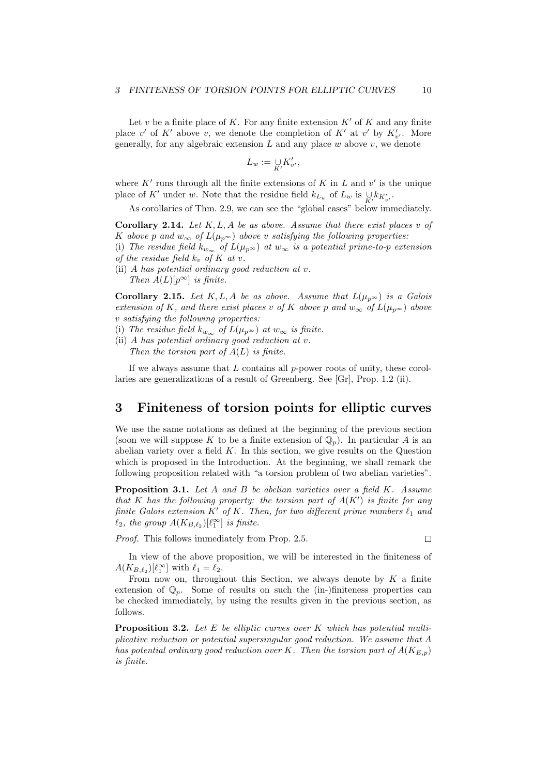Let v be a finite place of K. For any finite extension  $K'$  of K and any finite place  $v'$  of K' above v, we denote the completion of K' at v' by  $K'_{v'}$ . More generally, for any algebraic extension  $L$  and any place  $w$  above  $v$ , we denote

$$
L_w:=\mathop{\cup}\limits_{K'}K'_{v'},
$$

where  $K'$  runs through all the finite extensions of K in L and  $v'$  is the unique place of K<sup>'</sup> under w. Note that the residue field  $k_{L_w}$  of  $L_w$  is  $\bigcup_{K'} k_{K'_{v'}}$ .

As corollaries of Thm. 2.9, we can see the "global cases" below immediately.

**Corollary 2.14.** Let  $K, L, A$  be as above. Assume that there exist places v of K above p and  $w_{\infty}$  of  $L(\mu_{p^{\infty}})$  above v satisfying the following properties:

(i) The residue field  $k_{w_{\infty}}$  of  $L(\mu_{p^{\infty}})$  at  $w_{\infty}$  is a potential prime-to-p extension of the residue field  $k_v$ , of K at v.

(ii) A has potential ordinary good reduction at v. Then  $A(L)[p^{\infty}]$  is finite.

**Corollary 2.15.** Let K, L, A be as above. Assume that  $L(\mu_{p^{\infty}})$  is a Galois extension of K, and there exist places v of K above p and  $w_{\infty}$  of  $L(\mu_{p^{\infty}})$  above v satisfying the following properties:

- (i) The residue field  $k_{w_{\infty}}$  of  $L(\mu_{p^{\infty}})$  at  $w_{\infty}$  is finite.
- (ii) A has potential ordinary good reduction at  $v$ . Then the torsion part of  $A(L)$  is finite.

If we always assume that  $L$  contains all  $p$ -power roots of unity, these corollaries are generalizations of a result of Greenberg. See [Gr], Prop. 1.2 (ii).

# 3 Finiteness of torsion points for elliptic curves

We use the same notations as defined at the beginning of the previous section (soon we will suppose K to be a finite extension of  $\mathbb{Q}_p$ ). In particular A is an abelian variety over a field  $K$ . In this section, we give results on the Question which is proposed in the Introduction. At the beginning, we shall remark the following proposition related with "a torsion problem of two abelian varieties".

**Proposition 3.1.** Let A and B be abelian varieties over a field K. Assume that K has the following property: the torsion part of  $A(K')$  is finite for any finite Galois extension  $K'$  of  $K$ . Then, for two different prime numbers  $\ell_1$  and  $\ell_2$ , the group  $A(K_{B,\ell_2})[\ell_1^{\infty}]$  is finite.

Proof. This follows immediately from Prop. 2.5.

In view of the above proposition, we will be interested in the finiteness of  $A(K_{B,\ell_2})[\ell_1^{\infty}]$  with  $\ell_1 = \ell_2$ .

From now on, throughout this Section, we always denote by  $K$  a finite extension of  $\mathbb{Q}_n$ . Some of results on such the (in-)finiteness properties can be checked immediately, by using the results given in the previous section, as follows.

**Proposition 3.2.** Let  $E$  be elliptic curves over  $K$  which has potential multiplicative reduction or potential supersingular good reduction. We assume that A has potential ordinary good reduction over K. Then the torsion part of  $A(K_{E,p})$ is finite.

 $\Box$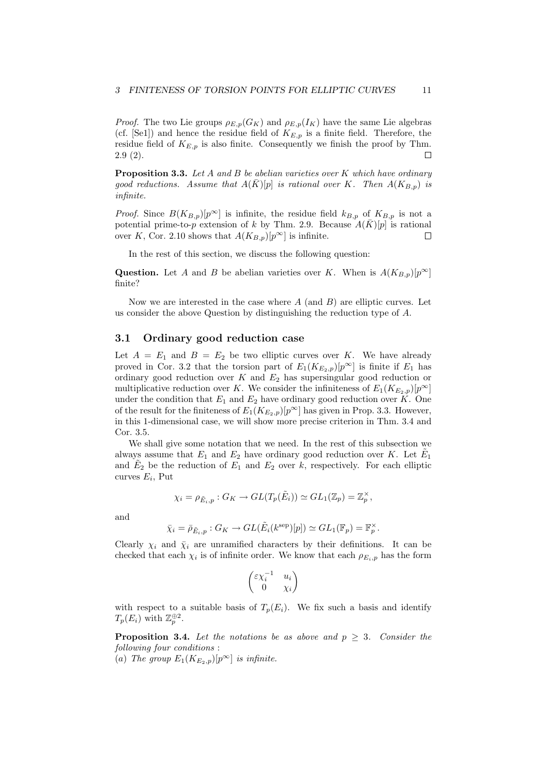*Proof.* The two Lie groups  $\rho_{E,p}(G_K)$  and  $\rho_{E,p}(I_K)$  have the same Lie algebras (cf. [Se1]) and hence the residue field of  $K_{E,p}$  is a finite field. Therefore, the residue field of  $K_{E,p}$  is also finite. Consequently we finish the proof by Thm. 2.9 (2). П

**Proposition 3.3.** Let A and B be abelian varieties over K which have ordinary good reductions. Assume that  $A(K)[p]$  is rational over K. Then  $A(K_{B,p})$  is infinite.

*Proof.* Since  $B(K_{B,p})[p^{\infty}]$  is infinite, the residue field  $k_{B,p}$  of  $K_{B,p}$  is not a potential prime-to-p extension of k by Thm. 2.9. Because  $A(\bar{K})[p]$  is rational over K, Cor. 2.10 shows that  $A(K_{B,p})[p^{\infty}]$  is infinite.  $\Box$ 

In the rest of this section, we discuss the following question:

**Question.** Let A and B be abelian varieties over K. When is  $A(K_{B,p})[p^{\infty}]$ finite?

Now we are interested in the case where  $A$  (and  $B$ ) are elliptic curves. Let us consider the above Question by distinguishing the reduction type of A.

## 3.1 Ordinary good reduction case

Let  $A = E_1$  and  $B = E_2$  be two elliptic curves over K. We have already proved in Cor. 3.2 that the torsion part of  $E_1(K_{E_2,p})[p^{\infty}]$  is finite if  $E_1$  has ordinary good reduction over  $K$  and  $E_2$  has supersingular good reduction or multiplicative reduction over K. We consider the infiniteness of  $E_1(K_{E_2,p})[p^{\infty}]$ under the condition that  $E_1$  and  $E_2$  have ordinary good reduction over K. One of the result for the finiteness of  $E_1(K_{E_2,p})[p^{\infty}]$  has given in Prop. 3.3. However, in this 1-dimensional case, we will show more precise criterion in Thm. 3.4 and Cor. 3.5.

We shall give some notation that we need. In the rest of this subsection we always assume that  $E_1$  and  $E_2$  have ordinary good reduction over K. Let  $\tilde{E}_1$ and  $\tilde{E}_2$  be the reduction of  $E_1$  and  $E_2$  over  $k$ , respectively. For each elliptic curves  $E_i$ , Put

$$
\chi_i = \rho_{\tilde{E}_i, p} : G_K \to GL(T_p(\tilde{E}_i)) \simeq GL_1(\mathbb{Z}_p) = \mathbb{Z}_p^{\times},
$$

and

$$
\bar{\chi}_i = \bar{\rho}_{\tilde{E}_i, p} : G_K \to GL(\tilde{E}_i(k^{\text{sep}})[p]) \simeq GL_1(\mathbb{F}_p) = \mathbb{F}_p^{\times}.
$$

Clearly  $\chi_i$  and  $\bar{\chi}_i$  are unramified characters by their definitions. It can be checked that each  $\chi_i$  is of infinite order. We know that each  $\rho_{E_i,p}$  has the form

$$
\begin{pmatrix} \varepsilon \chi_i^{-1} & u_i \\ 0 & \chi_i \end{pmatrix}
$$

with respect to a suitable basis of  $T_p(E_i)$ . We fix such a basis and identify  $T_p(E_i)$  with  $\mathbb{Z}_p^{\oplus 2}$ .

**Proposition 3.4.** Let the notations be as above and  $p \geq 3$ . Consider the following four conditions :

(a) The group  $E_1(K_{E_2,p})[p^{\infty}]$  is infinite.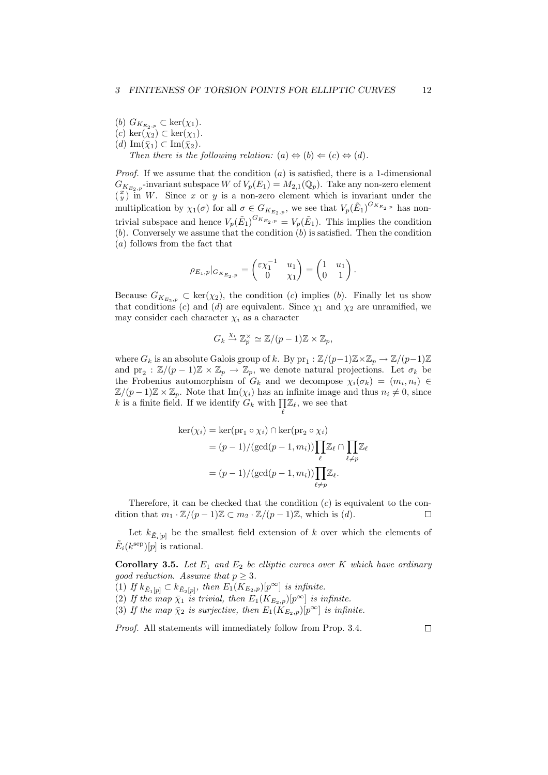(b)  $G_{K_{E_2,p}} \subset \text{ker}(\chi_1)$ . (c) ker( $\chi_2$ ) ⊂ ker( $\chi_1$ ).  $(d) \operatorname{Im}(\bar{\chi}_1) \subset \operatorname{Im}(\bar{\chi}_2).$ Then there is the following relation:  $(a) \Leftrightarrow (b) \Leftarrow (c) \Leftrightarrow (d)$ .

*Proof.* If we assume that the condition  $(a)$  is satisfied, there is a 1-dimensional  $G_{K_{E_2,p}}$ -invariant subspace W of  $V_p(E_1) = M_{2,1}(\mathbb{Q}_p)$ . Take any non-zero element  $\left(\begin{array}{c} x \\ y \end{array}\right)^{2}$  in W. Since x or y is a non-zero element which is invariant under the multiplication by  $\chi_1(\sigma)$  for all  $\sigma \in G_{K_{E_2,p}}$ , we see that  $V_p(\tilde{E}_1)^{G_{K_{E_2,p}}}$  has nontrivial subspace and hence  $V_p(\tilde{E}_1)^{G_{K_{E_2,p}}} = V_p(\tilde{E}_1)$ . This implies the condition  $(b)$ . Conversely we assume that the condition  $(b)$  is satisfied. Then the condition (a) follows from the fact that

$$
\rho_{E_1,p}|_{G_{K_{E_2,p}}} = \begin{pmatrix} \varepsilon \chi_1^{-1} & u_1 \\ 0 & \chi_1 \end{pmatrix} = \begin{pmatrix} 1 & u_1 \\ 0 & 1 \end{pmatrix}.
$$

Because  $G_{K_{E_2,p}} \subset \text{ker}(\chi_2)$ , the condition (c) implies (b). Finally let us show that conditions (c) and (d) are equivalent. Since  $\chi_1$  and  $\chi_2$  are unramified, we may consider each character  $\chi_i$  as a character

$$
G_k \stackrel{\chi_i}{\to} \mathbb{Z}_p^{\times} \simeq \mathbb{Z}/(p-1)\mathbb{Z} \times \mathbb{Z}_p,
$$

where  $G_k$  is an absolute Galois group of k. By  $\text{pr}_1 : \mathbb{Z}/(p-1)\mathbb{Z} \times \mathbb{Z}_p \to \mathbb{Z}/(p-1)\mathbb{Z}$ and  $pr_2 : \mathbb{Z}/(p-1)\mathbb{Z} \times \mathbb{Z}_p \to \mathbb{Z}_p$ , we denote natural projections. Let  $\sigma_k$  be the Frobenius automorphism of  $G_k$  and we decompose  $\chi_i(\sigma_k) = (m_i, n_i) \in$  $\mathbb{Z}/(p-1)\mathbb{Z} \times \mathbb{Z}_p$ . Note that  $\text{Im}(\chi_i)$  has an infinite image and thus  $n_i \neq 0$ , since  $\mathbb{Z}/(p-1)\mathbb{Z} \times \mathbb{Z}_p$ . Note that  $\text{Im}(\chi_i)$  has an infinite image a<br>k is a finite field. If we identify  $G_k$  with  $\prod \mathbb{Z}_\ell$ , we see that  $\ell$ 

$$
\ker(\chi_i) = \ker(\mathrm{pr}_1 \circ \chi_i) \cap \ker(\mathrm{pr}_2 \circ \chi_i)
$$
  
=  $(p-1)/(\gcd(p-1, m_i)) \prod_{\ell} \mathbb{Z}_{\ell} \cap \prod_{\ell \neq p} \mathbb{Z}_{\ell}$   
=  $(p-1)/(\gcd(p-1, m_i)) \prod_{\ell \neq p} \mathbb{Z}_{\ell}.$ 

Therefore, it can be checked that the condition  $(c)$  is equivalent to the condition that  $m_1 \cdot \mathbb{Z}/(p-1)\mathbb{Z} \subset m_2 \cdot \mathbb{Z}/(p-1)\mathbb{Z}$ , which is (d).  $\Box$ 

Let  $k_{\tilde{E}_i[p]}$  be the smallest field extension of k over which the elements of  $\tilde{E}_i(k^{\text{sep}})[p]$  is rational.

**Corollary 3.5.** Let  $E_1$  and  $E_2$  be elliptic curves over K which have ordinary good reduction. Assume that  $p \geq 3$ .

- (1) If  $k_{\tilde{E}_1[p]} \subset k_{\tilde{E}_2[p]}$ , then  $E_1(K_{E_2,p})[p^{\infty}]$  is infinite.
- (2) If the map  $\bar{\chi}_1$  is trivial, then  $E_1(K_{E_2,p})[p^{\infty}]$  is infinite.

(3) If the map  $\bar{\chi}_2$  is surjective, then  $E_1(K_{E_2,p})[p^{\infty}]$  is infinite.

Proof. All statements will immediately follow from Prop. 3.4.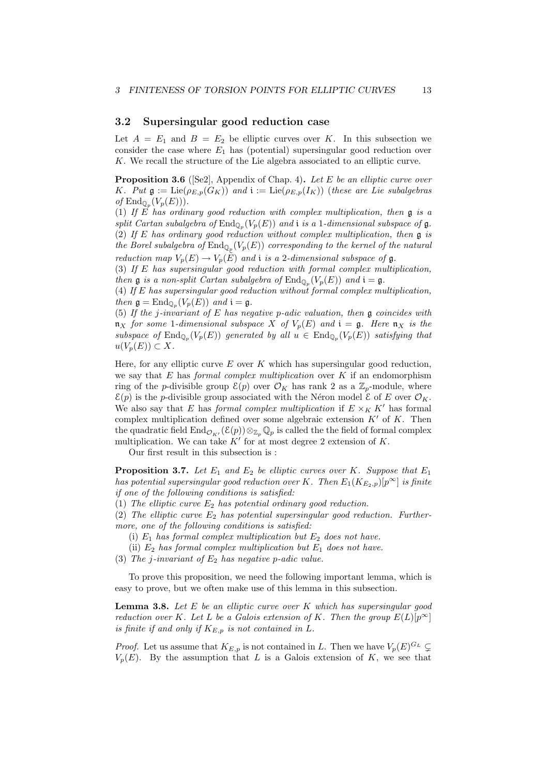#### 3.2 Supersingular good reduction case

Let  $A = E_1$  and  $B = E_2$  be elliptic curves over K. In this subsection we consider the case where  $E_1$  has (potential) supersingular good reduction over K. We recall the structure of the Lie algebra associated to an elliptic curve.

**Proposition 3.6** ([Se2], Appendix of Chap. 4). Let E be an elliptic curve over K. Put  $\mathfrak{g} := \text{Lie}(\rho_{E,p}(G_K))$  and  $\mathfrak{i} := \text{Lie}(\rho_{E,p}(I_K))$  (these are Lie subalgebras of  $\mathrm{End}_{\mathbb{Q}_p}(V_p(E))$ .

(1) If E has ordinary good reduction with complex multiplication, then  $\mathfrak g$  is a split Cartan subalgebra of  $\text{End}_{\mathbb{Q}_p}(V_p(E))$  and i is a 1-dimensional subspace of  $\mathfrak{g}$ . (2) If E has ordinary good reduction without complex multiplication, then  $\mathfrak g$  is the Borel subalgebra of  $\text{End}_{\mathbb{Q}_p}(V_p(E))$  corresponding to the kernel of the natural reduction map  $V_p(E) \to V_p(E)$  and i is a 2-dimensional subspace of g.

(3) If E has supersingular good reduction with formal complex multiplication, then **g** is a non-split Cartan subalgebra of  $\text{End}_{\mathbb{Q}_p}(V_p(E))$  and  $\mathfrak{i} = \mathfrak{g}$ .

(4) If E has supersingular good reduction without formal complex multiplication, then  $\mathfrak{g} = \text{End}_{\mathbb{Q}_p}(V_p(E))$  and  $\mathfrak{i} = \mathfrak{g}$ .

(5) If the j-invariant of E has negative p-adic valuation, then  $\mathfrak g$  coincides with  $\mathfrak{n}_X$  for some 1-dimensional subspace X of  $V_p(E)$  and  $\mathfrak{i} = \mathfrak{g}$ . Here  $\mathfrak{n}_X$  is the subspace of  $\text{End}_{\mathbb{Q}_p}(V_p(E))$  generated by all  $u \in \text{End}_{\mathbb{Q}_p}(V_p(E))$  satisfying that  $u(V_p(E)) \subset X$ .

Here, for any elliptic curve  $E$  over  $K$  which has supersingular good reduction, we say that  $E$  has *formal complex multiplication* over  $K$  if an endomorphism ring of the *p*-divisible group  $\mathcal{E}(p)$  over  $\mathcal{O}_K$  has rank 2 as a  $\mathbb{Z}_p$ -module, where  $\mathcal{E}(p)$  is the *p*-divisible group associated with the Néron model  $\mathcal{E}$  of E over  $\mathcal{O}_K$ . We also say that E has formal complex multiplication if  $E \times_K K'$  has formal complex multiplication defined over some algebraic extension  $K'$  of  $K$ . Then the quadratic field  $\text{End}_{\mathcal{O}_{K}}(\mathcal{E}(p))\otimes_{\mathbb{Z}_p}\mathbb{Q}_p$  is called the the field of formal complex multiplication. We can take  $K'$  for at most degree 2 extension of K.

Our first result in this subsection is :

**Proposition 3.7.** Let  $E_1$  and  $E_2$  be elliptic curves over K. Suppose that  $E_1$ has potential supersingular good reduction over K. Then  $E_1(K_{E_2,p})[p^{\infty}]$  is finite if one of the following conditions is satisfied:

(1) The elliptic curve  $E_2$  has potential ordinary good reduction.

(2) The elliptic curve  $E_2$  has potential supersingular good reduction. Furthermore, one of the following conditions is satisfied:

- (i)  $E_1$  has formal complex multiplication but  $E_2$  does not have.
- (ii)  $E_2$  has formal complex multiplication but  $E_1$  does not have.
- (3) The j-invariant of  $E_2$  has negative p-adic value.

To prove this proposition, we need the following important lemma, which is easy to prove, but we often make use of this lemma in this subsection.

**Lemma 3.8.** Let  $E$  be an elliptic curve over  $K$  which has supersingular good reduction over K. Let L be a Galois extension of K. Then the group  $E(L)[p^{\infty}]$ is finite if and only if  $K_{E,p}$  is not contained in L.

*Proof.* Let us assume that  $K_{E,p}$  is not contained in L. Then we have  $V_p(E)^{G_L} \subsetneq$  $V_p(E)$ . By the assumption that L is a Galois extension of K, we see that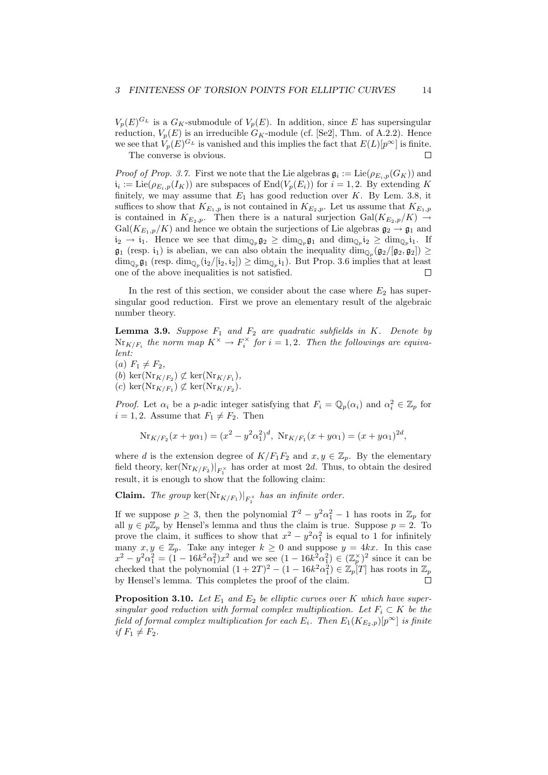$V_p(E)^{G_L}$  is a  $G_K$ -submodule of  $V_p(E)$ . In addition, since E has supersingular reduction,  $V_p(E)$  is an irreducible  $G_K$ -module (cf. [Se2], Thm. of A.2.2). Hence we see that  $V_p(E)^{G_L}$  is vanished and this implies the fact that  $E(L)[p^{\infty}]$  is finite. The converse is obvious. П

*Proof of Prop.* 3.7. First we note that the Lie algebras  $\mathfrak{g}_i := \mathrm{Lie}(\rho_{E_i,p}(G_K))$  and  $i_i := \text{Lie}(\rho_{E_i, p}(I_K))$  are subspaces of  $\text{End}(V_p(E_i))$  for  $i = 1, 2$ . By extending K finitely, we may assume that  $E_1$  has good reduction over K. By Lem. 3.8, it suffices to show that  $K_{E_1,p}$  is not contained in  $K_{E_2,p}$ . Let us assume that  $K_{E_1,p}$ is contained in  $K_{E_2,p}$ . Then there is a natural surjection  $Gal(K_{E_2,p}/K) \rightarrow$  $Gal(K_{E_1,p}/K)$  and hence we obtain the surjections of Lie algebras  $\mathfrak{g}_2 \to \mathfrak{g}_1$  and  $i_2 \to i_1$ . Hence we see that  $\dim_{\mathbb{Q}_p} \mathfrak{g}_2 \geq \dim_{\mathbb{Q}_p} \mathfrak{g}_1$  and  $\dim_{\mathbb{Q}_p} i_2 \geq \dim_{\mathbb{Q}_p} i_1$ . If  $\mathfrak{g}_1$  (resp. i<sub>1</sub>) is abelian, we can also obtain the inequality  $\dim_{\mathbb{Q}_p}(\mathfrak{g}_2/[\mathfrak{g}_2,\mathfrak{g}_2]) \geq$  $\dim_{\mathbb{Q}_p} \mathfrak{g}_1$  (resp.  $\dim_{\mathbb{Q}_p} (i_2/[i_2, i_2]) \geq \dim_{\mathbb{Q}_p} i_1$ ). But Prop. 3.6 implies that at least one of the above inequalities is not satisfied. П

In the rest of this section, we consider about the case where  $E_2$  has supersingular good reduction. First we prove an elementary result of the algebraic number theory.

**Lemma 3.9.** Suppose  $F_1$  and  $F_2$  are quadratic subfields in K. Denote by  $\text{Nr}_{K/F_i}$  the norm map  $K^\times \to F_i^\times$  for  $i=1,2$ . Then the followings are equivalent:

(a)  $F_1 \neq F_2$ , (b)  $\ker(\mathrm{Nr}_{K/F_2}) \not\subset \ker(\mathrm{Nr}_{K/F_1}),$ (c) ker( $\text{Nr}_{K/F_1}$ )  $\not\subset \text{ker}(\text{Nr}_{K/F_2})$ .

*Proof.* Let  $\alpha_i$  be a p-adic integer satisfying that  $F_i = \mathbb{Q}_p(\alpha_i)$  and  $\alpha_i^2 \in \mathbb{Z}_p$  for  $i = 1, 2$ . Assume that  $F_1 \neq F_2$ . Then

$$
Nr_{K/F_2}(x+y\alpha_1) = (x^2 - y^2\alpha_1^2)^d, Nr_{K/F_1}(x+y\alpha_1) = (x+y\alpha_1)^{2d},
$$

where d is the extension degree of  $K/F_1F_2$  and  $x, y \in \mathbb{Z}_p$ . By the elementary field theory,  $\ker(\text{Nr}_{K/F_2})|_{F_1^{\times}}$  has order at most 2d. Thus, to obtain the desired result, it is enough to show that the following claim:

**Claim.** The group  $\ker(Nr_{K/F_1})|_{F_1^{\times}}$  has an infinite order.

If we suppose  $p \geq 3$ , then the polynomial  $T^2 - y^2 \alpha_1^2 - 1$  has roots in  $\mathbb{Z}_p$  for all  $y \in p\mathbb{Z}_p$  by Hensel's lemma and thus the claim is true. Suppose  $p = 2$ . To prove the claim, it suffices to show that  $x^2 - y^2 \alpha_1^2$  is equal to 1 for infinitely many  $x, y \in \mathbb{Z}_p$ . Take any integer  $k \geq 0$  and suppose  $y = 4kx$ . In this case  $x^2 - y^2 \alpha_1^2 = (1 - 16k^2 \alpha_1^2)x^2$  and we see  $(1 - 16k^2 \alpha_1^2) \in (\mathbb{Z}_p^{\times})^2$  since it can be checked that the polynomial  $(1+2T)^2 - (1-16k^2\alpha_1^2) \in \mathbb{Z}_p[T]$  has roots in  $\mathbb{Z}_p$ by Hensel's lemma. This completes the proof of the claim.  $\Box$ 

**Proposition 3.10.** Let  $E_1$  and  $E_2$  be elliptic curves over K which have supersingular good reduction with formal complex multiplication. Let  $F_i \subset K$  be the field of formal complex multiplication for each  $E_i$ . Then  $E_1(K_{E_2,p})[p^{\infty}]$  is finite if  $F_1 \neq F_2$ .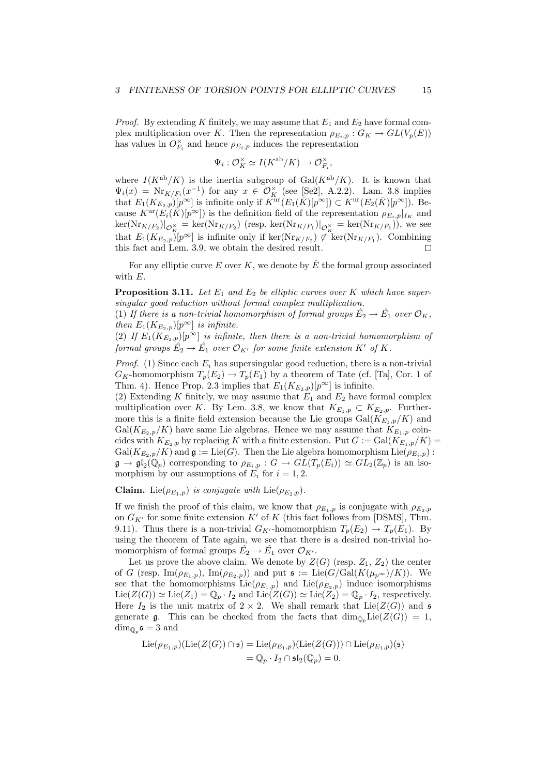*Proof.* By extending K finitely, we may assume that  $E_1$  and  $E_2$  have formal complex multiplication over K. Then the representation  $\rho_{E_i,p} : G_K \to GL(V_p(E))$ has values in  $O_{F_i}^{\times}$  and hence  $\rho_{E_i,p}$  induces the representation

$$
\Psi_i: \mathcal{O}_K^{\times} \simeq I(K^{\text{ab}}/K) \to \mathcal{O}_{F_i}^{\times},
$$

where  $I(K^{ab}/K)$  is the inertia subgroup of Gal $(K^{ab}/K)$ . It is known that  $\Psi_i(x) = \text{Nr}_{K/F_i}(x^{-1})$  for any  $x \in \mathcal{O}_K^{\times}$  (see [Se2], A.2.2). Lam. 3.8 implies that  $E_1(K_{E_2,p})[p^{\infty}]$  is infinite only if  $K^{\text{ur}}(E_1(\overline{K})[p^{\infty}]) \subset K^{\text{ur}}(E_2(\overline{K})[p^{\infty}])$ . Because  $K^{\text{ur}}(E_i(\overline{K})[p^{\infty}])$  is the definition field of the representation  $\rho_{E_i,p}|_{I_K}$  and  $\ker(Nr_{K/F_2})|_{\mathcal{O}_K^{\times}} = \ker(Nr_{K/F_2})$  (resp.  $\ker(Nr_{K/F_1})|_{\mathcal{O}_K^{\times}} = \ker(Nr_{K/F_1})$ ), we see that  $E_1(K_{E_2,p})[p^{\infty}]$  is infinite only if ker( $\text{Nr}_{K/F_2}$ )  $\not\subset \text{ ker}(\text{Nr}_{K/F_1})$ . Combining this fact and Lem. 3.9, we obtain the desired result.

For any elliptic curve E over K, we denote by  $\hat{E}$  the formal group associated with E.

**Proposition 3.11.** Let  $E_1$  and  $E_2$  be elliptic curves over K which have supersingular good reduction without formal complex multiplication.

(1) If there is a non-trivial homomorphism of formal groups  $\hat{E_2} \to \hat{E_1}$  over  $\mathcal{O}_K$ , then  $E_1(K_{E_2,p})[p^{\infty}]$  is infinite.

(2) If  $E_1(K_{E_2,p})[p^{\infty}]$  is infinite, then there is a non-trivial homomorphism of formal groups  $\hat{E_2} \rightarrow \hat{E_1}$  over  $\mathcal{O}_{K'}$  for some finite extension  $K'$  of  $K$ .

*Proof.* (1) Since each  $E_i$  has supersingular good reduction, there is a non-trivial  $G_K$ -homomorphism  $T_p(E_2) \to T_p(E_1)$  by a theorem of Tate (cf. [Ta], Cor. 1 of Thm. 4). Hence Prop. 2.3 implies that  $E_1(K_{E_2,p})[p^{\infty}]$  is infinite.

(2) Extending K finitely, we may assume that  $E_1$  and  $E_2$  have formal complex multiplication over K. By Lem. 3.8, we know that  $K_{E_1,p} \subset K_{E_2,p}$ . Furthermore this is a finite field extension because the Lie groups  $Gal(K_{E_1,p}/K)$  and  $Gal(K_{E_2,p}/K)$  have same Lie algebras. Hence we may assume that  $K_{E_1,p}$  coincides with  $K_{E_2,p}$  by replacing K with a finite extension. Put  $G := \text{Gal}(K_{E_1,p}/K)$  $Gal(K_{E_2,p}/K)$  and  $\mathfrak{g} := \text{Lie}(G)$ . Then the Lie algebra homomorphism  $\text{Lie}(\rho_{E_i,p})$ :  $\mathfrak{g} \to \mathfrak{gl}_2(\mathbb{Q}_p)$  corresponding to  $\rho_{E_i,p}: G \to GL(T_p(E_i)) \simeq GL_2(\mathbb{Z}_p)$  is an isomorphism by our assumptions of  $E_i$  for  $i = 1, 2$ .

**Claim.** Lie( $\rho_{E_1,p}$ ) is conjugate with Lie( $\rho_{E_2,p}$ ).

If we finish the proof of this claim, we know that  $\rho_{E_1,p}$  is conjugate with  $\rho_{E_2,p}$ on  $G_{K'}$  for some finite extension  $K'$  of K (this fact follows from [DSMS], Thm. 9.11). Thus there is a non-trivial  $G_{K'}$ -homomorphism  $T_p(E_2) \to T_p(E_1)$ . By using the theorem of Tate again, we see that there is a desired non-trivial homomorphism of formal groups  $\hat{E_2} \to \hat{E_1}$  over  $\mathcal{O}_{K'}$ .

Let us prove the above claim. We denote by  $Z(G)$  (resp.  $Z_1, Z_2$ ) the center of G (resp.  $\text{Im}(\rho_{E_1,p}), \text{Im}(\rho_{E_2,p})$ ) and put  $\mathfrak{s} := \text{Lie}(G/\text{Gal}(K(\mu_{p^{\infty}})/K)).$  We see that the homomorphisms  $\text{Lie}(\rho_{E_1,p})$  and  $\text{Lie}(\rho_{E_2,p})$  induce isomorphisms  $\text{Lie}(Z(G)) \simeq \text{Lie}(Z_1) = \mathbb{Q}_p \cdot I_2$  and  $\text{Lie}(Z(G)) \simeq \text{Lie}(Z_2) = \mathbb{Q}_p \cdot I_2$ , respectively. Here  $I_2$  is the unit matrix of  $2 \times 2$ . We shall remark that Lie( $Z(G)$ ) and  $\mathfrak s$ generate g. This can be checked from the facts that  $\dim_{\mathbb{Q}_p} \text{Lie}(Z(G)) = 1$ ,  $\dim_{\mathbb{Q}_p} \mathfrak{s} = 3$  and

$$
\mathrm{Lie}(\rho_{E_1,p})(\mathrm{Lie}(Z(G)) \cap \mathfrak{s}) = \mathrm{Lie}(\rho_{E_1,p})(\mathrm{Lie}(Z(G))) \cap \mathrm{Lie}(\rho_{E_1,p})(\mathfrak{s})
$$

$$
= \mathbb{Q}_p \cdot I_2 \cap \mathfrak{s} \mathfrak{l}_2(\mathbb{Q}_p) = 0.
$$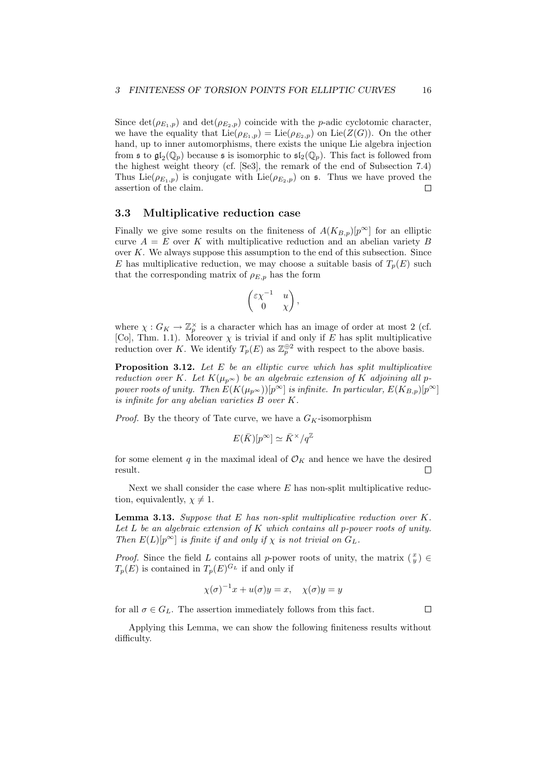Since  $\det(\rho_{E_1,p})$  and  $\det(\rho_{E_2,p})$  coincide with the *p*-adic cyclotomic character, we have the equality that  $\text{Lie}(\rho_{E_1,p}) = \text{Lie}(\rho_{E_2,p})$  on  $\text{Lie}(Z(G))$ . On the other hand, up to inner automorphisms, there exists the unique Lie algebra injection from  $\mathfrak{sl}_2(\mathbb{Q}_p)$  because  $\mathfrak s$  is isomorphic to  $\mathfrak{sl}_2(\mathbb{Q}_p)$ . This fact is followed from the highest weight theory (cf. [Se3], the remark of the end of Subsection 7.4) Thus Lie( $\rho_{E_1,p}$ ) is conjugate with Lie( $\rho_{E_2,p}$ ) on s. Thus we have proved the assertion of the claim.  $\Box$ 

## 3.3 Multiplicative reduction case

Finally we give some results on the finiteness of  $A(K_{B,p})[p^{\infty}]$  for an elliptic curve  $A = E$  over K with multiplicative reduction and an abelian variety B over  $K$ . We always suppose this assumption to the end of this subsection. Since E has multiplicative reduction, we may choose a suitable basis of  $T_p(E)$  such that the corresponding matrix of  $\rho_{E,p}$  has the form

$$
\begin{pmatrix} \varepsilon \chi^{-1} & u \\ 0 & \chi \end{pmatrix},
$$

where  $\chi: G_K \to \mathbb{Z}_p^{\times}$  is a character which has an image of order at most 2 (cf. [Co], Thm. 1.1). Moreover  $\chi$  is trivial if and only if E has split multiplicative reduction over K. We identify  $T_p(E)$  as  $\mathbb{Z}_p^{\oplus 2}$  with respect to the above basis.

**Proposition 3.12.** Let  $E$  be an elliptic curve which has split multiplicative reduction over K. Let  $K(\mu_{p^{\infty}})$  be an algebraic extension of K adjoining all ppower roots of unity. Then  $E(K(\mu_{p^{\infty}}))[p^{\infty}]$  is infinite. In particular,  $E(K_{B,p})[p^{\infty}]$ is infinite for any abelian varieties B over K.

*Proof.* By the theory of Tate curve, we have a  $G_K$ -isomorphism

$$
E(\bar{K})[p^{\infty}] \simeq \bar{K}^{\times}/q^{\mathbb{Z}}
$$

for some element q in the maximal ideal of  $\mathcal{O}_K$  and hence we have the desired result.  $\Box$ 

Next we shall consider the case where  $E$  has non-split multiplicative reduction, equivalently,  $\chi \neq 1$ .

**Lemma 3.13.** Suppose that  $E$  has non-split multiplicative reduction over  $K$ . Let  $L$  be an algebraic extension of  $K$  which contains all p-power roots of unity. Then  $E(L)[p^{\infty}]$  is finite if and only if  $\chi$  is not trivial on  $G_L$ .

*Proof.* Since the field L contains all p-power roots of unity, the matrix  $\begin{pmatrix} x \\ y \end{pmatrix} \in$  $T_p(E)$  is contained in  $T_p(E)^{G_L}$  if and only if

$$
\chi(\sigma)^{-1}x + u(\sigma)y = x, \quad \chi(\sigma)y = y
$$

for all  $\sigma \in G_L$ . The assertion immediately follows from this fact.

 $\Box$ 

Applying this Lemma, we can show the following finiteness results without difficulty.